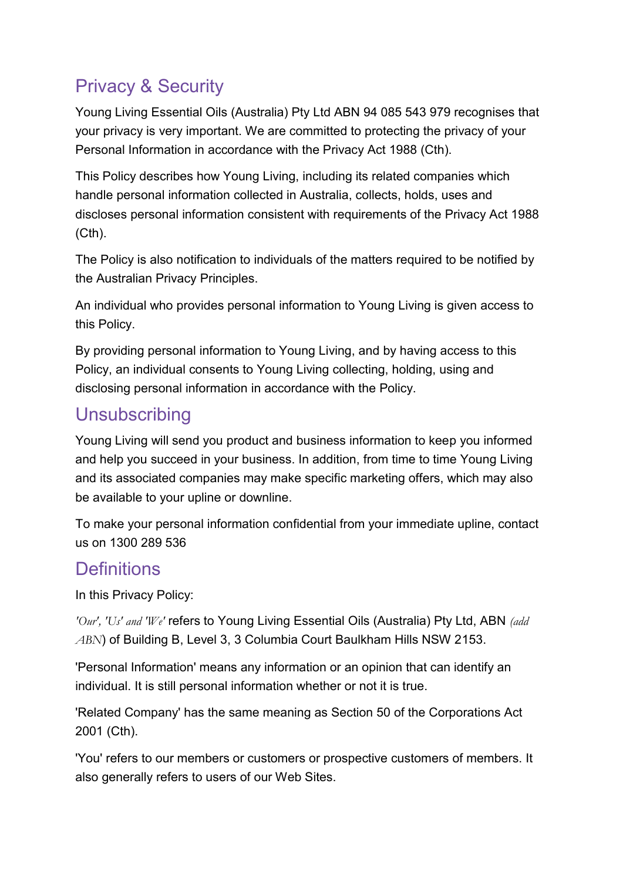# Privacy & Security

Young Living Essential Oils (Australia) Pty Ltd ABN 94 085 543 979 recognises that your privacy is very important. We are committed to protecting the privacy of your Personal Information in accordance with the Privacy Act 1988 (Cth).

This Policy describes how Young Living, including its related companies which handle personal information collected in Australia, collects, holds, uses and discloses personal information consistent with requirements of the Privacy Act 1988 (Cth).

The Policy is also notification to individuals of the matters required to be notified by the Australian Privacy Principles.

An individual who provides personal information to Young Living is given access to this Policy.

By providing personal information to Young Living, and by having access to this Policy, an individual consents to Young Living collecting, holding, using and disclosing personal information in accordance with the Policy.

#### **Unsubscribing**

Young Living will send you product and business information to keep you informed and help you succeed in your business. In addition, from time to time Young Living and its associated companies may make specific marketing offers, which may also be available to your upline or downline.

To make your personal information confidential from your immediate upline, contact us on 1300 289 536

## **Definitions**

In this Privacy Policy:

*'Our', 'Us' and 'We'* refers to Young Living Essential Oils (Australia) Pty Ltd, ABN *(add ABN*) of Building B, Level 3, 3 Columbia Court Baulkham Hills NSW 2153.

'Personal Information' means any information or an opinion that can identify an individual. It is still personal information whether or not it is true.

'Related Company' has the same meaning as Section 50 of the Corporations Act 2001 (Cth).

'You' refers to our members or customers or prospective customers of members. It also generally refers to users of our Web Sites.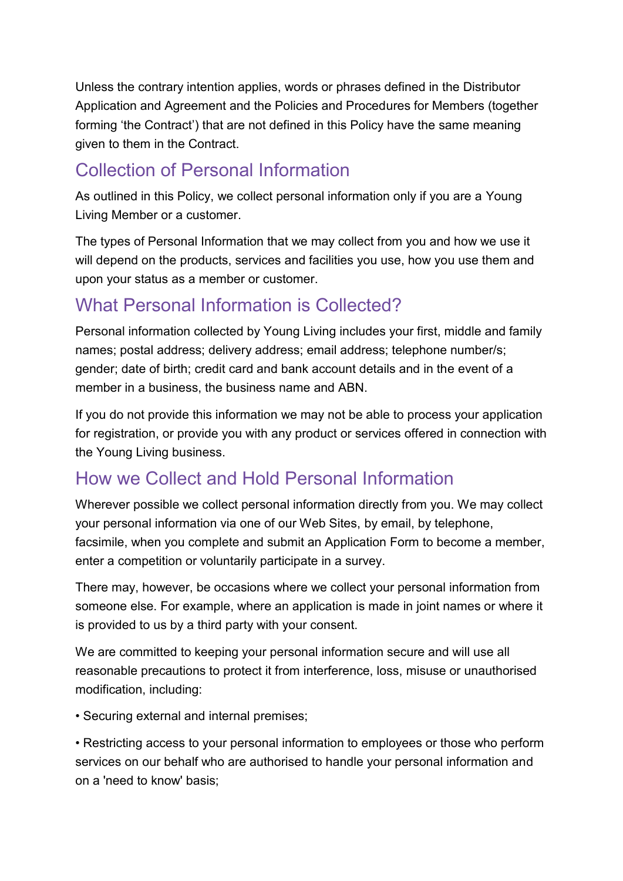Unless the contrary intention applies, words or phrases defined in the Distributor Application and Agreement and the Policies and Procedures for Members (together forming 'the Contract') that are not defined in this Policy have the same meaning given to them in the Contract.

# Collection of Personal Information

As outlined in this Policy, we collect personal information only if you are a Young Living Member or a customer.

The types of Personal Information that we may collect from you and how we use it will depend on the products, services and facilities you use, how you use them and upon your status as a member or customer.

## What Personal Information is Collected?

Personal information collected by Young Living includes your first, middle and family names; postal address; delivery address; email address; telephone number/s; gender; date of birth; credit card and bank account details and in the event of a member in a business, the business name and ABN.

If you do not provide this information we may not be able to process your application for registration, or provide you with any product or services offered in connection with the Young Living business.

# How we Collect and Hold Personal Information

Wherever possible we collect personal information directly from you. We may collect your personal information via one of our Web Sites, by email, by telephone, facsimile, when you complete and submit an Application Form to become a member, enter a competition or voluntarily participate in a survey.

There may, however, be occasions where we collect your personal information from someone else. For example, where an application is made in joint names or where it is provided to us by a third party with your consent.

We are committed to keeping your personal information secure and will use all reasonable precautions to protect it from interference, loss, misuse or unauthorised modification, including:

• Securing external and internal premises;

• Restricting access to your personal information to employees or those who perform services on our behalf who are authorised to handle your personal information and on a 'need to know' basis;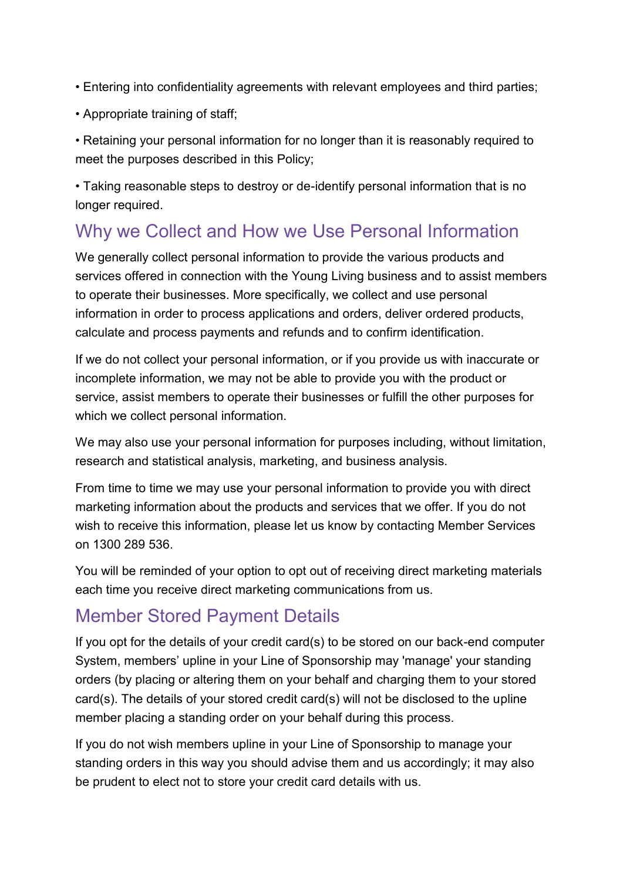- Entering into confidentiality agreements with relevant employees and third parties;
- Appropriate training of staff;

• Retaining your personal information for no longer than it is reasonably required to meet the purposes described in this Policy;

• Taking reasonable steps to destroy or de-identify personal information that is no longer required.

### Why we Collect and How we Use Personal Information

We generally collect personal information to provide the various products and services offered in connection with the Young Living business and to assist members to operate their businesses. More specifically, we collect and use personal information in order to process applications and orders, deliver ordered products, calculate and process payments and refunds and to confirm identification.

If we do not collect your personal information, or if you provide us with inaccurate or incomplete information, we may not be able to provide you with the product or service, assist members to operate their businesses or fulfill the other purposes for which we collect personal information.

We may also use your personal information for purposes including, without limitation, research and statistical analysis, marketing, and business analysis.

From time to time we may use your personal information to provide you with direct marketing information about the products and services that we offer. If you do not wish to receive this information, please let us know by contacting Member Services on 1300 289 536.

You will be reminded of your option to opt out of receiving direct marketing materials each time you receive direct marketing communications from us.

#### Member Stored Payment Details

If you opt for the details of your credit card(s) to be stored on our back-end computer System, members' upline in your Line of Sponsorship may 'manage' your standing orders (by placing or altering them on your behalf and charging them to your stored card(s). The details of your stored credit card(s) will not be disclosed to the upline member placing a standing order on your behalf during this process.

If you do not wish members upline in your Line of Sponsorship to manage your standing orders in this way you should advise them and us accordingly; it may also be prudent to elect not to store your credit card details with us.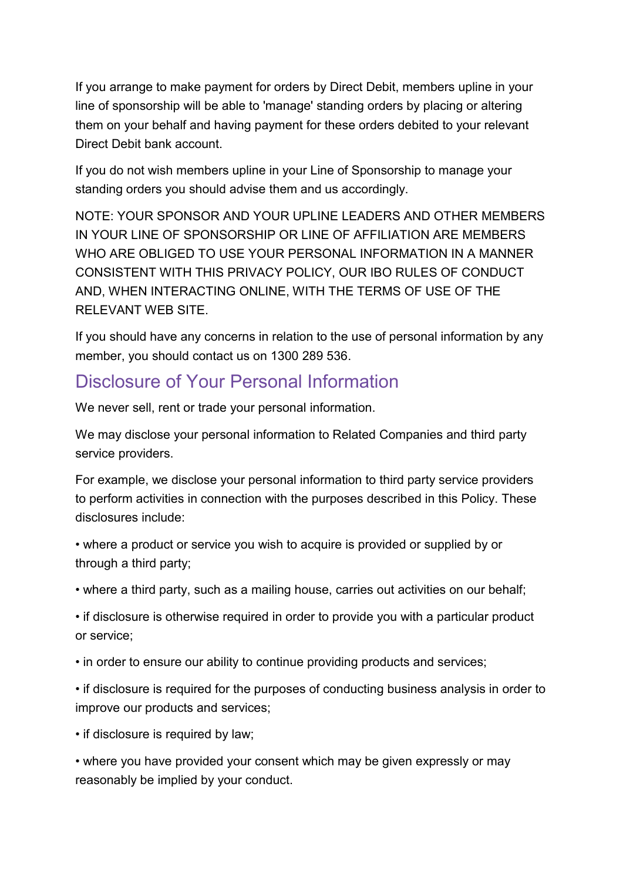If you arrange to make payment for orders by Direct Debit, members upline in your line of sponsorship will be able to 'manage' standing orders by placing or altering them on your behalf and having payment for these orders debited to your relevant Direct Debit bank account.

If you do not wish members upline in your Line of Sponsorship to manage your standing orders you should advise them and us accordingly.

NOTE: YOUR SPONSOR AND YOUR UPLINE LEADERS AND OTHER MEMBERS IN YOUR LINE OF SPONSORSHIP OR LINE OF AFFILIATION ARE MEMBERS WHO ARE OBLIGED TO USE YOUR PERSONAL INFORMATION IN A MANNER CONSISTENT WITH THIS PRIVACY POLICY, OUR IBO RULES OF CONDUCT AND, WHEN INTERACTING ONLINE, WITH THE TERMS OF USE OF THE RELEVANT WEB SITE.

If you should have any concerns in relation to the use of personal information by any member, you should contact us on 1300 289 536.

#### Disclosure of Your Personal Information

We never sell, rent or trade your personal information.

We may disclose your personal information to Related Companies and third party service providers.

For example, we disclose your personal information to third party service providers to perform activities in connection with the purposes described in this Policy. These disclosures include:

• where a product or service you wish to acquire is provided or supplied by or through a third party;

• where a third party, such as a mailing house, carries out activities on our behalf;

• if disclosure is otherwise required in order to provide you with a particular product or service;

• in order to ensure our ability to continue providing products and services;

• if disclosure is required for the purposes of conducting business analysis in order to improve our products and services;

• if disclosure is required by law;

• where you have provided your consent which may be given expressly or may reasonably be implied by your conduct.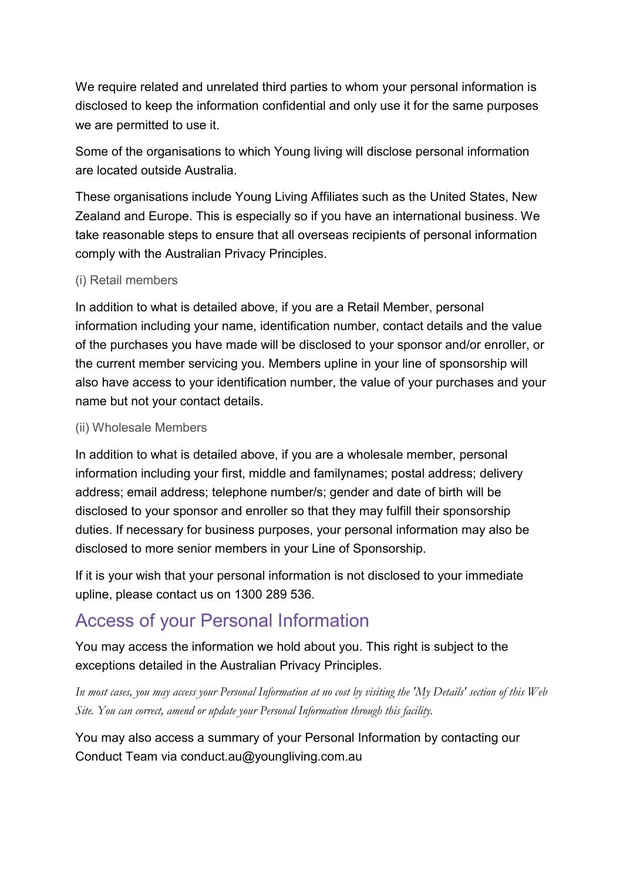We require related and unrelated third parties to whom your personal information is disclosed to keep the information confidential and only use it for the same purposes we are permitted to use it.

Some of the organisations to which Young living will disclose personal information are located outside Australia.

These organisations include Young Living Affiliates such as the United States, New Zealand and Europe. This is especially so if you have an international business. We take reasonable steps to ensure that all overseas recipients of personal information comply with the Australian Privacy Principles.

#### (i) Retail members

In addition to what is detailed above, if you are a Retail Member, personal information including your name, identification number, contact details and the value of the purchases you have made will be disclosed to your sponsor and/or enroller, or the current member servicing you. Members upline in your line of sponsorship will also have access to your identification number, the value of your purchases and your name but not your contact details.

#### (ii) Wholesale Members

In addition to what is detailed above, if you are a wholesale member, personal information including your first, middle and familynames; postal address; delivery address; email address; telephone number/s; gender and date of birth will be disclosed to your sponsor and enroller so that they may fulfill their sponsorship duties. If necessary for business purposes, your personal information may also be disclosed to more senior members in your Line of Sponsorship.

If it is your wish that your personal information is not disclosed to your immediate upline, please contact us on 1300 289 536.

#### Access of your Personal Information

You may access the information we hold about you. This right is subject to the exceptions detailed in the Australian Privacy Principles.

*In most cases, you may access your Personal Information at no cost by visiting the 'My Details' section of this Web Site. You can correct, amend or update your Personal Information through this facility.*

You may also access a summary of your Personal Information by contacting our Conduct Team via conduct.au@youngliving.com.au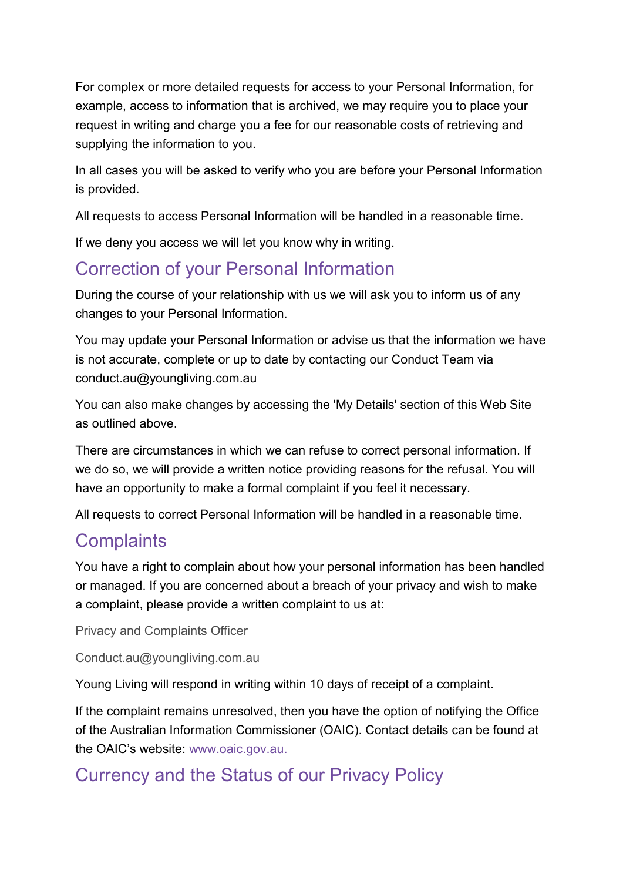For complex or more detailed requests for access to your Personal Information, for example, access to information that is archived, we may require you to place your request in writing and charge you a fee for our reasonable costs of retrieving and supplying the information to you.

In all cases you will be asked to verify who you are before your Personal Information is provided.

All requests to access Personal Information will be handled in a reasonable time.

If we deny you access we will let you know why in writing.

### Correction of your Personal Information

During the course of your relationship with us we will ask you to inform us of any changes to your Personal Information.

You may update your Personal Information or advise us that the information we have is not accurate, complete or up to date by contacting our Conduct Team via conduct.au@youngliving.com.au

You can also make changes by accessing the 'My Details' section of this Web Site as outlined above.

There are circumstances in which we can refuse to correct personal information. If we do so, we will provide a written notice providing reasons for the refusal. You will have an opportunity to make a formal complaint if you feel it necessary.

All requests to correct Personal Information will be handled in a reasonable time.

## **Complaints**

You have a right to complain about how your personal information has been handled or managed. If you are concerned about a breach of your privacy and wish to make a complaint, please provide a written complaint to us at:

Privacy and Complaints Officer

Conduct.au@youngliving.com.au

Young Living will respond in writing within 10 days of receipt of a complaint.

If the complaint remains unresolved, then you have the option of notifying the Office of the Australian Information Commissioner (OAIC). Contact details can be found at the OAIC's website: [www.oaic.gov.au.](http://www.oaic.gov.au/)

#### Currency and the Status of our Privacy Policy